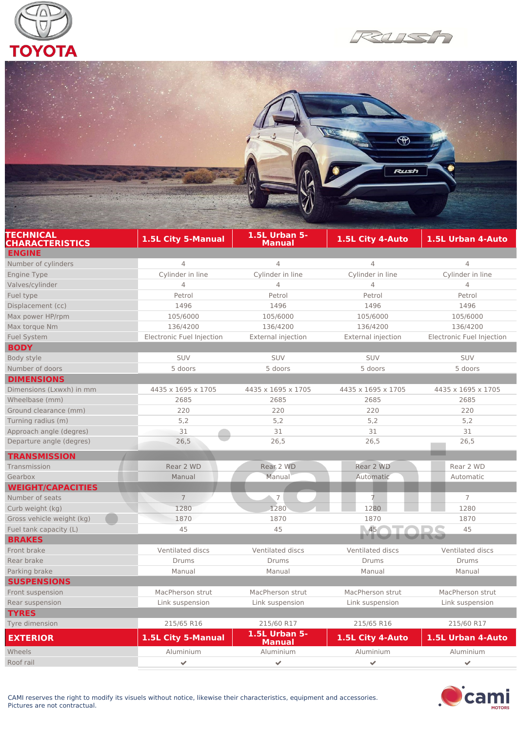





| <b>TECHNICAL</b><br><b>CHARACTERISTICS</b> | 1.5L City 5-Manual        | <b>1.5L Urban 5-</b><br>Manual | 1.5L City 4-Auto          | 1.5L Urban 4-Auto         |
|--------------------------------------------|---------------------------|--------------------------------|---------------------------|---------------------------|
| <b>ENGINE</b>                              |                           |                                |                           |                           |
| Number of cylinders                        | $\overline{4}$            | 4                              | $\overline{4}$            | $\overline{4}$            |
| <b>Engine Type</b>                         | Cylinder in line          | Cylinder in line               | Cylinder in line          | Cylinder in line          |
| Valves/cylinder                            | $\overline{4}$            | $\overline{4}$                 | $\overline{4}$            | $\overline{4}$            |
| Fuel type                                  | Petrol                    | Petrol                         | Petrol                    | Petrol                    |
| Displacement (cc)                          | 1496                      | 1496                           | 1496                      | 1496                      |
| Max power HP/rpm                           | 105/6000                  | 105/6000                       | 105/6000                  | 105/6000                  |
| Max torque Nm                              | 136/4200                  | 136/4200                       | 136/4200                  | 136/4200                  |
| <b>Fuel System</b>                         | Electronic Fuel Injection | <b>External injection</b>      | <b>External injection</b> | Electronic Fuel Injection |
| <b>BODY</b>                                |                           |                                |                           |                           |
| Body style                                 | <b>SUV</b>                | <b>SUV</b>                     | <b>SUV</b>                | SUV                       |
| Number of doors                            | 5 doors                   | 5 doors                        | 5 doors                   | 5 doors                   |
| <b>DIMENSIONS</b>                          |                           |                                |                           |                           |
| Dimensions (Lxwxh) in mm                   | 4435 x 1695 x 1705        | 4435 x 1695 x 1705             | 4435 x 1695 x 1705        | 4435 x 1695 x 1705        |
| Wheelbase (mm)                             | 2685                      | 2685                           | 2685                      | 2685                      |
| Ground clearance (mm)                      | 220                       | 220                            | 220                       | 220                       |
| Turning radius (m)                         | 5,2                       | 5,2                            | 5,2                       | 5,2                       |
| Approach angle (degres)                    | 31                        | 31                             | 31                        | 31                        |
| Departure angle (degres)                   | 26,5                      | 26,5                           | 26,5                      | 26,5                      |
| <b>TRANSMISSION</b>                        |                           |                                |                           |                           |
| Transmission                               | Rear 2 WD                 | Rear 2 WD                      | Rear 2 WD                 | Rear 2 WD                 |
| Gearbox                                    | Manual                    | Manual                         | Automatic                 | Automatic                 |
| <b>WEIGHT/CAPACITIES</b>                   |                           |                                |                           |                           |
| Number of seats                            | $\overline{7}$            | $\overline{7}$                 | Ż.                        | $\overline{7}$            |
| Curb weight (kg)                           | 1280                      | 1280                           | 1280                      | 1280                      |
| Gross vehicle weight (kg)                  | 1870                      | 1870                           | 1870                      | 1870                      |
| Fuel tank capacity (L)                     | 45                        | 45                             | 45                        | 45                        |
| <b>BRAKES</b>                              |                           |                                |                           |                           |
| Front brake                                | Ventilated discs          | Ventilated discs               | Ventilated discs          | Ventilated discs          |
| Rear brake                                 | Drums                     | Drums                          | Drums                     | Drums                     |
| Parking brake                              | Manual                    | Manual                         | Manual                    | Manual                    |
| <b>SUSPENSIONS</b>                         |                           |                                |                           |                           |
| Front suspension                           | MacPherson strut          | MacPherson strut               | MacPherson strut          | MacPherson strut          |
| Rear suspension                            | Link suspension           | Link suspension                | Link suspension           | Link suspension           |
| <b>TYRES</b>                               |                           |                                |                           |                           |
| Tyre dimension                             | 215/65 R16                | 215/60 R17                     | 215/65 R16                | 215/60 R17                |
|                                            |                           | <b>1.5L Urban 5-</b>           |                           |                           |
| <b>EXTERIOR</b>                            | 1.5L City 5-Manual        | <b>Manual</b>                  | 1.5L City 4-Auto          | 1.5L Urban 4-Auto         |
| Wheels                                     | Aluminium                 | Aluminium                      | Aluminium                 | Aluminium                 |